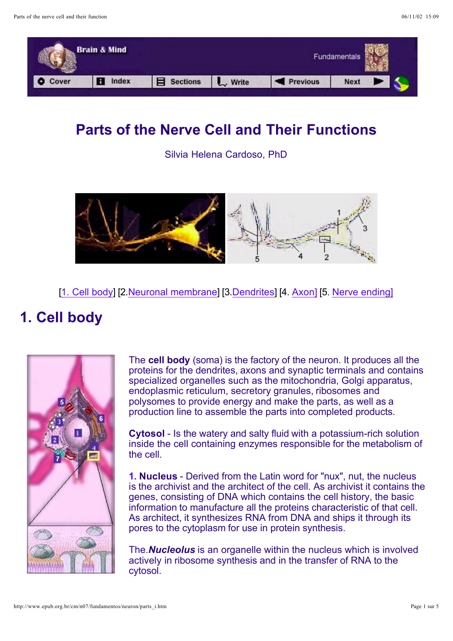

## **Parts of the Nerve Cell and Their Functions**

Silvia Helena Cardoso, PhD



[1. Cell body] [2. Neuronal membrane] [3. Dendrites] [4. Axon] [5. Nerve ending]

# **1. Cell body**



The cell body (soma) is the factory of the neuron. It produces all the proteins for the dendrites, axons and synaptic terminals and contains specialized organelles such as the mitochondria, Golgi apparatus, endoplasmic reticulum, secretory granules, ribosomes and polysomes to provide energy and make the parts, as well as a production line to assemble the parts into completed products.

**Cytosol** - Is the watery and salty fluid with a potassium-rich solution inside the cell containing enzymes responsible for the metabolism of the cell.

**1. Nucleus** - Derived from the Latin word for "nux", nut, the nucleus is the archivist and the architect of the cell. As archivist it contains the genes, consisting of DNA which contains the cell history, the basic information to manufacture all the proteins characteristic of that cell. As architect, it synthesizes RNA from DNA and ships it through its pores to the cytoplasm for use in protein synthesis.

The **Nucleolus** is an organelle within the nucleus which is involved actively in ribosome synthesis and in the transfer of RNA to the cytosol.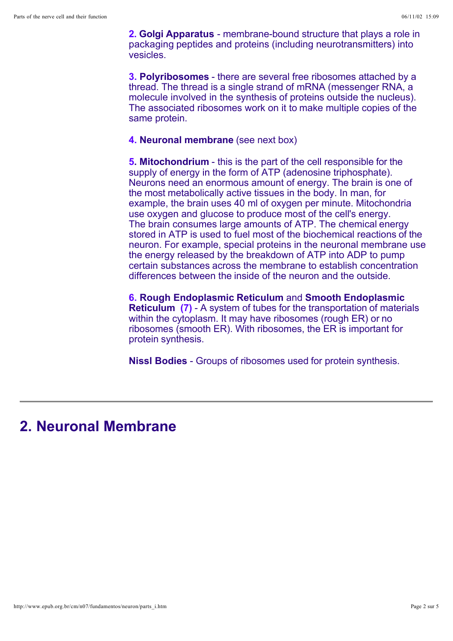**2. Golgi Apparatus** - membrane-bound structure that plays a role in packaging peptides and proteins (including neurotransmitters) into vesicles.

**3. Polyribosomes** - there are several free ribosomes attached by a thread. The thread is a single strand of mRNA (messenger RNA, a molecule involved in the synthesis of proteins outside the nucleus). The associated ribosomes work on it to make multiple copies of the same protein.

#### **4. Neuronal membrane** (see next box)

**5. Mitochondrium** - this is the part of the cell responsible for the supply of energy in the form of ATP (adenosine triphosphate). Neurons need an enormous amount of energy. The brain is one of the most metabolically active tissues in the body. In man, for example, the brain uses 40 ml of oxygen per minute. Mitochondria use oxygen and glucose to produce most of the cell's energy. The brain consumes large amounts of ATP. The chemical energy stored in ATP is used to fuel most of the biochemical reactions of the neuron. For example, special proteins in the neuronal membrane use the energy released by the breakdown of ATP into ADP to pump certain substances across the membrane to establish concentration differences between the inside of the neuron and the outside.

**6. Rough Endoplasmic Reticulum** and **Smooth Endoplasmic Reticulum (7)** - A system of tubes for the transportation of materials within the cytoplasm. It may have ribosomes (rough ER) or no ribosomes (smooth ER). With ribosomes, the ER is important for protein synthesis.

**Nissl Bodies** - Groups of ribosomes used for protein synthesis.

#### **2. Neuronal Membrane**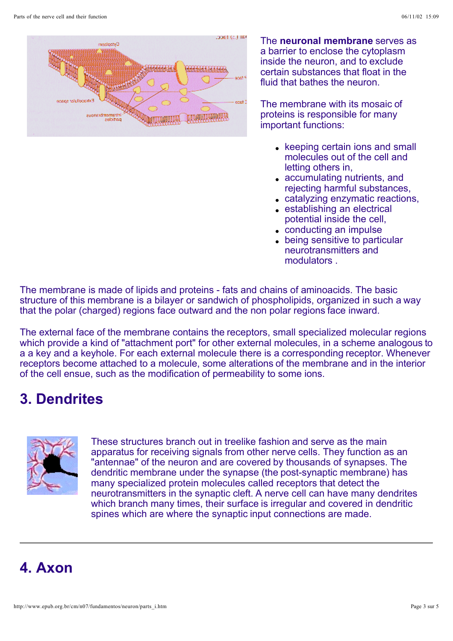

The **neuronal membrane** serves as a barrier to enclose the cytoplasm inside the neuron, and to exclude certain substances that float in the fluid that bathes the neuron.

The membrane with its mosaic of proteins is responsible for many important functions:

- keeping certain ions and small molecules out of the cell and letting others in,
- accumulating nutrients, and rejecting harmful substances,
- catalyzing enzymatic reactions,
- establishing an electrical potential inside the cell,
- conducting an impulse
- being sensitive to particular neurotransmitters and modulators .

The membrane is made of lipids and proteins - fats and chains of aminoacids. The basic structure of this membrane is a bilayer or sandwich of phospholipids, organized in such a way that the polar (charged) regions face outward and the non polar regions face inward.

The external face of the membrane contains the receptors, small specialized molecular regions which provide a kind of "attachment port" for other external molecules, in a scheme analogous to a a key and a keyhole. For each external molecule there is a corresponding receptor. Whenever receptors become attached to a molecule, some alterations of the membrane and in the interior of the cell ensue, such as the modification of permeability to some ions.

## **3. Dendrites**



These structures branch out in treelike fashion and serve as the main apparatus for receiving signals from other nerve cells. They function as an "antennae" of the neuron and are covered by thousands of synapses. The dendritic membrane under the synapse (the post-synaptic membrane) has many specialized protein molecules called receptors that detect the neurotransmitters in the synaptic cleft. A nerve cell can have many dendrites which branch many times, their surface is irregular and covered in dendritic spines which are where the synaptic input connections are made.

### **4. Axon**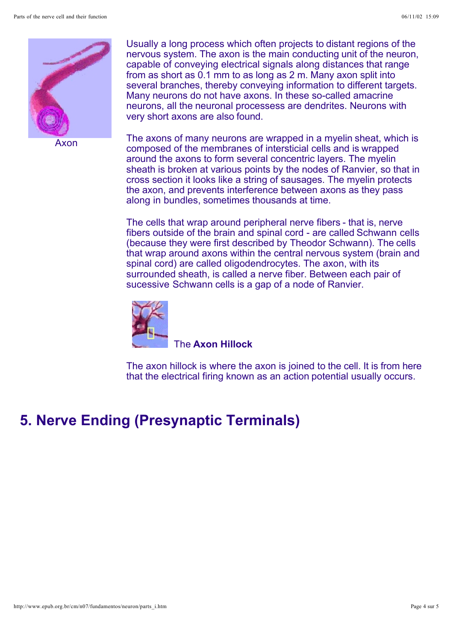

Axon

Usually a long process which often projects to distant regions of the nervous system. The axon is the main conducting unit of the neuron, capable of conveying electrical signals along distances that range from as short as 0.1 mm to as long as 2 m. Many axon split into several branches, thereby conveying information to different targets. Many neurons do not have axons. In these so-called amacrine neurons, all the neuronal processess are dendrites. Neurons with very short axons are also found.

The axons of many neurons are wrapped in a myelin sheat, which is composed of the membranes of intersticial cells and is wrapped around the axons to form several concentric layers. The myelin sheath is broken at various points by the nodes of Ranvier, so that in cross section it looks like a string of sausages. The myelin protects the axon, and prevents interference between axons as they pass along in bundles, sometimes thousands at time.

The cells that wrap around peripheral nerve fibers - that is, nerve fibers outside of the brain and spinal cord - are called Schwann cells (because they were first described by Theodor Schwann). The cells that wrap around axons within the central nervous system (brain and spinal cord) are called oligodendrocytes. The axon, with its surrounded sheath, is called a nerve fiber. Between each pair of sucessive Schwann cells is a gap of a node of Ranvier.



#### The **Axon Hillock**

The axon hillock is where the axon is joined to the cell. It is from here that the electrical firing known as an action potential usually occurs.

### **5. Nerve Ending (Presynaptic Terminals)**